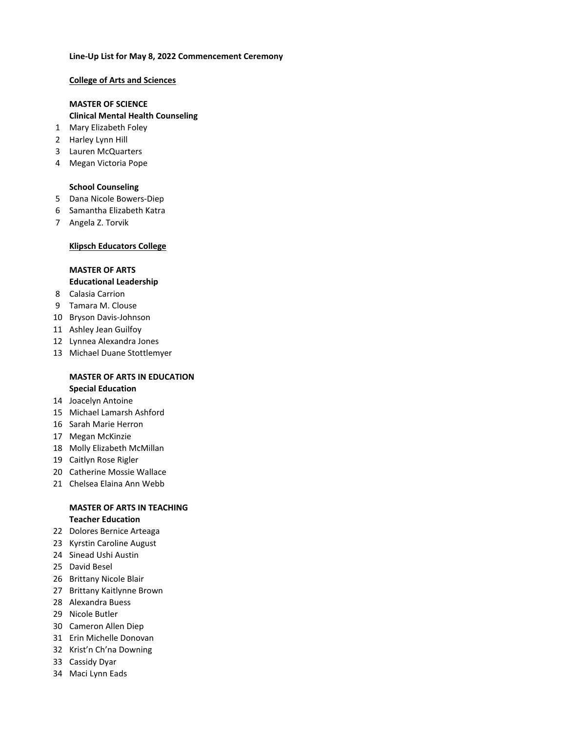#### **Line‐Up List for May 8, 2022 Commencement Ceremony**

#### **College of Arts and Sciences**

### **MASTER OF SCIENCE**

#### **Clinical Mental Health Counseling**

- Mary Elizabeth Foley
- Harley Lynn Hill
- Lauren McQuarters
- Megan Victoria Pope

#### **School Counseling**

- Dana Nicole Bowers-Diep
- Samantha Elizabeth Katra
- Angela Z. Torvik

#### **Klipsch Educators College**

#### **MASTER OF ARTS**

#### **Educational Leadership**

- Calasia Carrion
- Tamara M. Clouse
- Bryson Davis-Johnson
- Ashley Jean Guilfoy
- Lynnea Alexandra Jones
- Michael Duane Stottlemyer

#### **MASTER OF ARTS IN EDUCATION Special Education**

- Joacelyn Antoine
- Michael Lamarsh Ashford
- Sarah Marie Herron
- Megan McKinzie
- Molly Elizabeth McMillan
- Caitlyn Rose Rigler
- Catherine Mossie Wallace
- Chelsea Elaina Ann Webb

#### **MASTER OF ARTS IN TEACHING Teacher Education**

- Dolores Bernice Arteaga
- Kyrstin Caroline August
- Sinead Ushi Austin
- David Besel
- Brittany Nicole Blair
- Brittany Kaitlynne Brown
- Alexandra Buess
- Nicole Butler
- Cameron Allen Diep
- Erin Michelle Donovan
- Krist'n Ch'na Downing
- Cassidy Dyar
- Maci Lynn Eads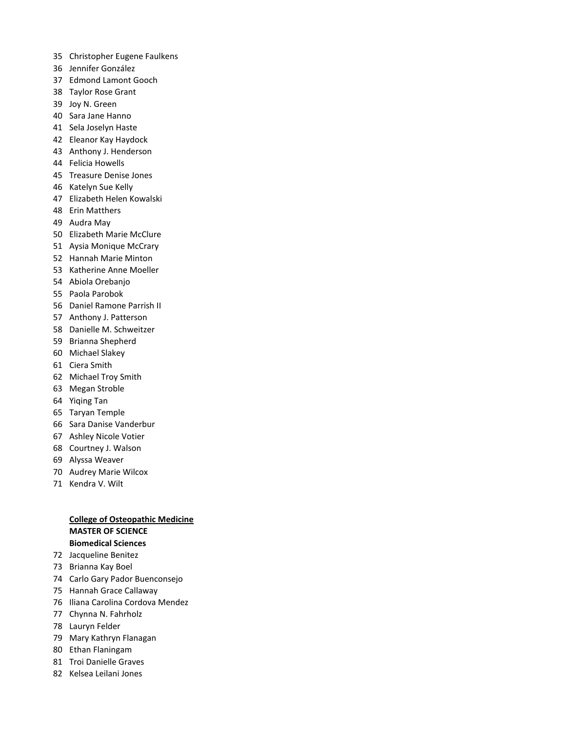- Christopher Eugene Faulkens
- Jennifer González
- Edmond Lamont Gooch
- Taylor Rose Grant
- Joy N. Green
- Sara Jane Hanno
- Sela Joselyn Haste
- Eleanor Kay Haydock
- Anthony J. Henderson
- Felicia Howells
- Treasure Denise Jones
- Katelyn Sue Kelly
- Elizabeth Helen Kowalski
- Erin Matthers
- Audra May
- Elizabeth Marie McClure
- Aysia Monique McCrary
- Hannah Marie Minton
- Katherine Anne Moeller
- Abiola Orebanjo
- Paola Parobok
- Daniel Ramone Parrish II
- Anthony J. Patterson
- Danielle M. Schweitzer
- Brianna Shepherd
- Michael Slakey
- Ciera Smith
- Michael Troy Smith
- Megan Stroble
- Yiqing Tan
- Taryan Temple
- Sara Danise Vanderbur
- Ashley Nicole Votier
- Courtney J. Walson
- Alyssa Weaver
- Audrey Marie Wilcox
- Kendra V. Wilt

#### **College of Osteopathic Medicine MASTER OF SCIENCE Biomedical Sciences**

- Jacqueline Benitez
- Brianna Kay Boel
- Carlo Gary Pador Buenconsejo
- Hannah Grace Callaway
- Iliana Carolina Cordova Mendez
- Chynna N. Fahrholz
- Lauryn Felder
- Mary Kathryn Flanagan
- Ethan Flaningam
- Troi Danielle Graves
- Kelsea Leilani Jones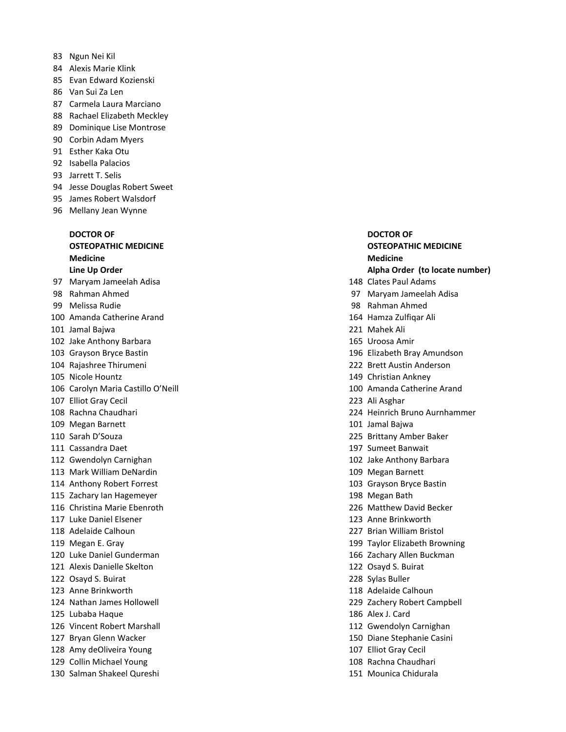- Ngun Nei Kil
- Alexis Marie Klink
- Evan Edward Kozienski
- Van Sui Za Len
- Carmela Laura Marciano
- Rachael Elizabeth Meckley
- Dominique Lise Montrose
- Corbin Adam Myers
- Esther Kaka Otu
- Isabella Palacios
- Jarrett T. Selis
- Jesse Douglas Robert Sweet
- James Robert Walsdorf
- Mellany Jean Wynne

# **Medicine Medicine**

- Maryam Jameelah Adisa 148 Clates Paul Adams
- 
- 
- Amanda Catherine Arand 164 Hamza Zulfiqar Ali
- Jamal Bajwa 221 Mahek Ali
- Jake Anthony Barbara 165 Uroosa Amir
- 
- 
- 
- Carolyn Maria Castillo O'Neill 100 Amanda Catherine Arand
- Elliot Gray Cecil 223 Ali Asghar
- 
- 
- 
- 
- 
- Mark William DeNardin 109 Megan Barnett
- 
- Zachary Ian Hagemeyer 198 Megan Bath
- 
- 
- Adelaide Calhoun 227 Brian William Bristol
- 
- 
- Alexis Danielle Skelton 122 Osayd S. Buirat
- Osayd S. Buirat 228 Sylas Buller
- 
- 
- Lubaba Haque 186 Alex J. Card
- Vincent Robert Marshall 112 Gwendolyn Carnighan
- 
- Amy deOliveira Young 107 Elliot Gray Cecil
- Collin Michael Young 108 Rachna Chaudhari
- Salman Shakeel Qureshi 151 Mounica Chidurala

## **DOCTOR OF DOCTOR OF OSTEOPATHIC MEDICINE OSTEOPATHIC MEDICINE**

#### **Line Up Order Alpha Order (to locate number)**

- 
- Rahman Ahmed 97 Maryam Jameelah Adisa
- Melissa Rudie 98 Rahman Ahmed
	-
	-
	-
- Grayson Bryce Bastin 196 Elizabeth Bray Amundson
- Rajashree Thirumeni 222 Brett Austin Anderson
- Nicole Hountz 149 Christian Ankney
	-
	-
- Rachna Chaudhari 224 Heinrich Bruno Aurnhammer
- Megan Barnett 101 Jamal Bajwa
- Sarah D'Souza 225 Brittany Amber Baker
- 111 Cassandra Daet **197 Sumeet Banwait**
- Gwendolyn Carnighan 102 Jake Anthony Barbara
	-
- Anthony Robert Forrest 103 Grayson Bryce Bastin
	-
- Christina Marie Ebenroth 226 Matthew David Becker
- 117 Luke Daniel Elsener 123 Anne Brinkworth
	-
- Megan E. Gray 199 Taylor Elizabeth Browning
- Luke Daniel Gunderman 166 Zachary Allen Buckman
	-
	-
- Anne Brinkworth 118 Adelaide Calhoun
- Nathan James Hollowell 229 Zachery Robert Campbell
	-
	-
- Bryan Glenn Wacker 150 Diane Stephanie Casini
	-
	-
	-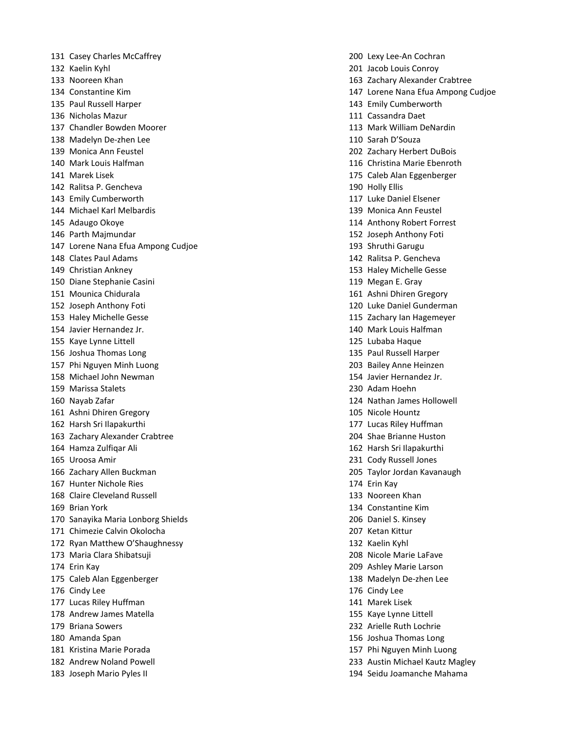Casey Charles McCaffrey 200 Lexy Lee-An Cochran Kaelin Kyhl 201 Jacob Louis Conroy Paul Russell Harper 143 Emily Cumberworth Nicholas Mazur 111 Cassandra Daet Chandler Bowden Moorer 113 Mark William DeNardin Madelyn De-zhen Lee 110 Sarah D'Souza Monica Ann Feustel 202 Zachary Herbert DuBois Mark Louis Halfman 116 Christina Marie Ebenroth Marek Lisek 175 Caleb Alan Eggenberger Ralitsa P. Gencheva 190 Holly Ellis Emily Cumberworth 117 Luke Daniel Elsener Michael Karl Melbardis 139 Monica Ann Feustel Adaugo Okoye 114 Anthony Robert Forrest Parth Majmundar 152 Joseph Anthony Foti Lorene Nana Efua Ampong Cudjoe 193 Shruthi Garugu Clates Paul Adams 142 Ralitsa P. Gencheva Christian Ankney 153 Haley Michelle Gesse Diane Stephanie Casini 119 Megan E. Gray Mounica Chidurala 161 Ashni Dhiren Gregory Joseph Anthony Foti 120 Luke Daniel Gunderman Haley Michelle Gesse 115 Zachary Ian Hagemeyer Javier Hernandez Jr. 140 Mark Louis Halfman Kaye Lynne Littell 125 Lubaba Haque Joshua Thomas Long 135 Paul Russell Harper Phi Nguyen Minh Luong 203 Bailey Anne Heinzen Michael John Newman 154 Javier Hernandez Jr. Marissa Stalets 230 Adam Hoehn Nayab Zafar 124 Nathan James Hollowell Ashni Dhiren Gregory 105 Nicole Hountz Harsh Sri Ilapakurthi 177 Lucas Riley Huffman Zachary Alexander Crabtree 204 Shae Brianne Huston Hamza Zulfiqar Ali 162 Harsh Sri Ilapakurthi Uroosa Amir 231 Cody Russell Jones Zachary Allen Buckman 205 Taylor Jordan Kavanaugh Hunter Nichole Ries 174 Erin Kay Claire Cleveland Russell 133 Nooreen Khan Brian York 134 Constantine Kim Sanayika Maria Lonborg Shields 206 Daniel S. Kinsey Chimezie Calvin Okolocha 207 Ketan Kittur Ryan Matthew O'Shaughnessy 132 Kaelin Kyhl Maria Clara Shibatsuji 208 Nicole Marie LaFave Erin Kay 209 Ashley Marie Larson Caleb Alan Eggenberger 138 Madelyn De-zhen Lee Cindy Lee 176 Cindy Lee Lucas Riley Huffman 141 Marek Lisek Andrew James Matella 155 Kaye Lynne Littell Briana Sowers 232 Arielle Ruth Lochrie Amanda Span 156 Joshua Thomas Long Kristina Marie Porada 157 Phi Nguyen Minh Luong Joseph Mario Pyles II 194 Seidu Joamanche Mahama

 Nooreen Khan 163 Zachary Alexander Crabtree Constantine Kim 147 Lorene Nana Efua Ampong Cudjoe Andrew Noland Powell 233 Austin Michael Kautz Magley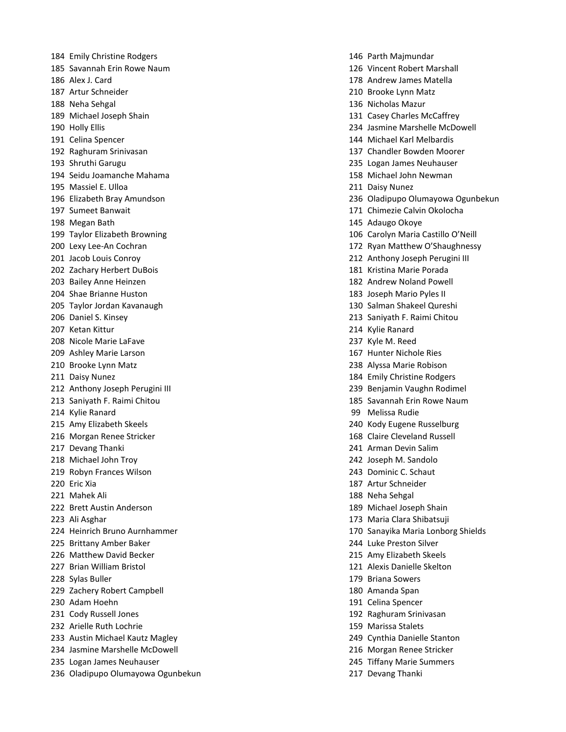184 Emily Christine Rodgers 16 November 2016 12:30 146 Parth Majmundar Savannah Erin Rowe Naum 126 Vincent Robert Marshall Alex J. Card 178 Andrew James Matella Artur Schneider 210 Brooke Lynn Matz Neha Sehgal 136 Nicholas Mazur Michael Joseph Shain 131 Casey Charles McCaffrey Celina Spencer 144 Michael Karl Melbardis Raghuram Srinivasan 137 Chandler Bowden Moorer Shruthi Garugu 235 Logan James Neuhauser Seidu Joamanche Mahama 158 Michael John Newman Massiel E. Ulloa 211 Daisy Nunez Sumeet Banwait 171 Chimezie Calvin Okolocha Megan Bath 145 Adaugo Okoye Jacob Louis Conroy 212 Anthony Joseph Perugini III Zachary Herbert DuBois 181 Kristina Marie Porada Bailey Anne Heinzen 182 Andrew Noland Powell Shae Brianne Huston 183 Joseph Mario Pyles II Taylor Jordan Kavanaugh 130 Salman Shakeel Qureshi Daniel S. Kinsey 213 Saniyath F. Raimi Chitou Ketan Kittur 214 Kylie Ranard Nicole Marie LaFave 237 Kyle M. Reed Ashley Marie Larson 167 Hunter Nichole Ries Brooke Lynn Matz 238 Alyssa Marie Robison 211 Daisy Nunez **184 Emily Christine Rodgers** 184 Emily Christine Rodgers Anthony Joseph Perugini III 239 Benjamin Vaughn Rodimel Saniyath F. Raimi Chitou 185 Savannah Erin Rowe Naum Kylie Ranard 99 Melissa Rudie Amy Elizabeth Skeels 240 Kody Eugene Russelburg 216 Morgan Renee Stricker 168 Claire Cleveland Russell Devang Thanki 241 Arman Devin Salim Michael John Troy 242 Joseph M. Sandolo Robyn Frances Wilson 243 Dominic C. Schaut Eric Xia 187 Artur Schneider 221 Mahek Ali 188 Neha Sehgal 188 Neha Sehgal 188 Neha Sehgal 188 Neha Sehgal 188 Neha Sehgal 188 Neha Sehgal Brett Austin Anderson 189 Michael Joseph Shain Ali Asghar 173 Maria Clara Shibatsuji Brittany Amber Baker 244 Luke Preston Silver Matthew David Becker 215 Amy Elizabeth Skeels Brian William Bristol 121 Alexis Danielle Skelton Sylas Buller 179 Briana Sowers Zachery Robert Campbell 180 Amanda Span Adam Hoehn 191 Celina Spencer Cody Russell Jones 192 Raghuram Srinivasan Arielle Ruth Lochrie 159 Marissa Stalets Austin Michael Kautz Magley 249 Cynthia Danielle Stanton Jasmine Marshelle McDowell 216 Morgan Renee Stricker Logan James Neuhauser 245 Tiffany Marie Summers Oladipupo Olumayowa Ogunbekun 217 Devang Thanki

 Holly Ellis 234 Jasmine Marshelle McDowell Elizabeth Bray Amundson 236 Oladipupo Olumayowa Ogunbekun Taylor Elizabeth Browning 106 Carolyn Maria Castillo O'Neill Lexy Lee-An Cochran 172 Ryan Matthew O'Shaughnessy Heinrich Bruno Aurnhammer 170 Sanayika Maria Lonborg Shields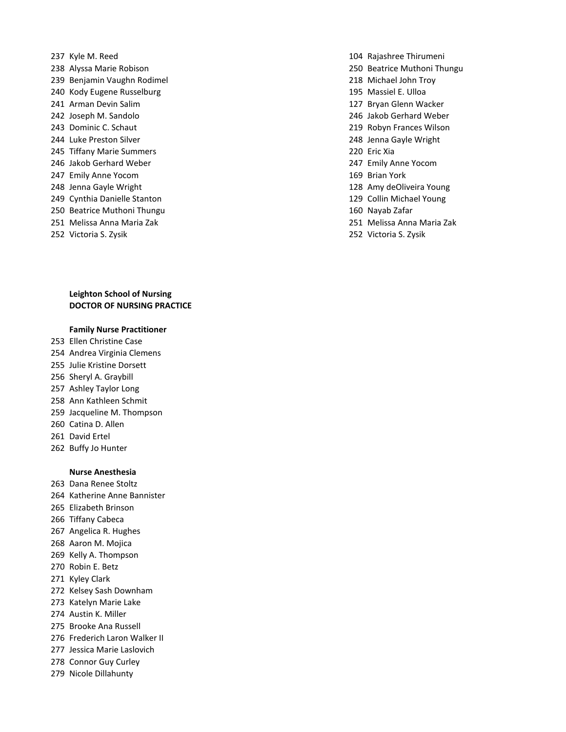- Kyle M. Reed 104 Rajashree Thirumeni Alyssa Marie Robison 250 Beatrice Muthoni Thungu Benjamin Vaughn Rodimel 218 Michael John Troy Kody Eugene Russelburg 195 Massiel E. Ulloa Arman Devin Salim 127 Bryan Glenn Wacker Joseph M. Sandolo 246 Jakob Gerhard Weber Dominic C. Schaut 219 Robyn Frances Wilson Luke Preston Silver 248 Jenna Gayle Wright Tiffany Marie Summers 220 Eric Xia Jakob Gerhard Weber 247 Emily Anne Yocom Emily Anne Yocom 169 Brian York Jenna Gayle Wright 128 Amy deOliveira Young Cynthia Danielle Stanton 129 Collin Michael Young Beatrice Muthoni Thungu 160 Nayab Zafar Melissa Anna Maria Zak 251 Melissa Anna Maria Zak
- Victoria S. Zysik 252 Victoria S. Zysik

#### **Leighton School of Nursing DOCTOR OF NURSING PRACTICE**

#### **Family Nurse Practitioner**

- Ellen Christine Case
- Andrea Virginia Clemens
- Julie Kristine Dorsett
- Sheryl A. Graybill
- Ashley Taylor Long
- Ann Kathleen Schmit
- Jacqueline M. Thompson
- Catina D. Allen
- David Ertel
- Buffy Jo Hunter

#### **Nurse Anesthesia**

- Dana Renee Stoltz
- Katherine Anne Bannister
- Elizabeth Brinson
- Tiffany Cabeca
- Angelica R. Hughes
- Aaron M. Mojica
- Kelly A. Thompson
- Robin E. Betz
- Kyley Clark
- Kelsey Sash Downham
- Katelyn Marie Lake
- Austin K. Miller
- Brooke Ana Russell
- Frederich Laron Walker II
- Jessica Marie Laslovich
- Connor Guy Curley
- Nicole Dillahunty
- 
- 
- 
- 
- 
- 
- 
- 
- 
- 
- 
- 
- 
- 
- 
-